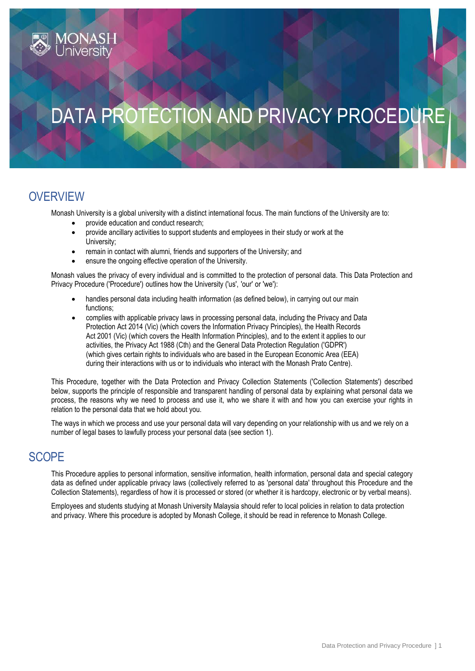# DATA PROTECTION AND PRIVACY PROCEDURE

## **OVERVIEW**

Monash University is a global university with a distinct international focus. The main functions of the University are to:

- provide education and conduct research;
- provide ancillary activities to support students and employees in their study or work at the University;
- remain in contact with alumni, friends and supporters of the University; and
- ensure the ongoing effective operation of the University.

Monash values the privacy of every individual and is committed to the protection of personal data. This Data Protection and Privacy Procedure ('Procedure') outlines how the University ('us', 'our' or 'we'):

- handles personal data including health information (as defined below), in carrying out our main functions;
- complies with applicable privacy laws in processing personal data, including the Privacy and Data Protection Act 2014 (Vic) (which covers the Information Privacy Principles), the Health Records Act 2001 (Vic) (which covers the Health Information Principles), and to the extent it applies to our activities, the Privacy Act 1988 (Cth) and the General Data Protection Regulation ('GDPR') (which gives certain rights to individuals who are based in the European Economic Area (EEA) during their interactions with us or to individuals who interact with the Monash Prato Centre).

This Procedure, together with the Data Protection and Privacy Collection Statements ('Collection Statements') described below, supports the principle of responsible and transparent handling of personal data by explaining what personal data we process, the reasons why we need to process and use it, who we share it with and how you can exercise your rights in relation to the personal data that we hold about you.

The ways in which we process and use your personal data will vary depending on your relationship with us and we rely on a number of legal bases to lawfully process your personal data (see section 1).

## **SCOPE**

This Procedure applies to personal information, sensitive information, health information, personal data and special category data as defined under applicable privacy laws (collectively referred to as 'personal data' throughout this Procedure and the Collection Statements), regardless of how it is processed or stored (or whether it is hardcopy, electronic or by verbal means).

Employees and students studying at Monash University Malaysia should refer to local policies in relation to data protection and privacy. Where this procedure is adopted by Monash College, it should be read in reference to Monash College.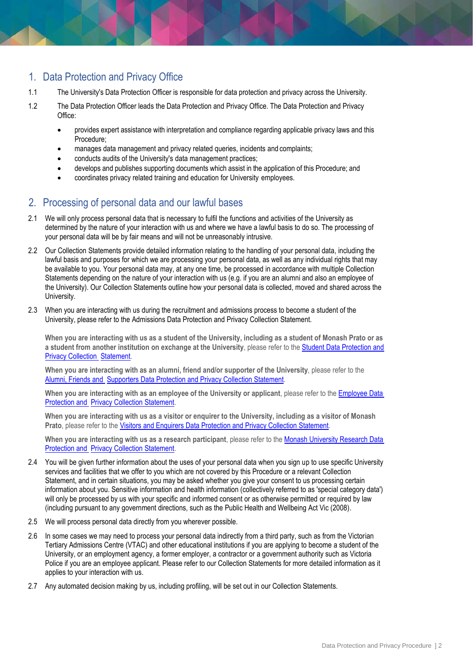## 1. Data Protection and Privacy Office

- 1.1 The University's Data Protection Officer is responsible for data protection and privacy across the University.
- 1.2 The Data Protection Officer leads the Data Protection and Privacy Office. The Data Protection and Privacy Office:
	- provides expert assistance with interpretation and compliance regarding applicable privacy laws and this Procedure;
	- manages data management and privacy related queries, incidents and complaints;
	- conducts audits of the University's data management practices;
	- develops and publishes supporting documents which assist in the application of this Procedure; and
	- coordinates privacy related training and education for University employees.

## 2. Processing of personal data and our lawful bases

- 2.1 We will only process personal data that is necessary to fulfil the functions and activities of the University as determined by the nature of your interaction with us and where we have a lawful basis to do so. The processing of your personal data will be by fair means and will not be unreasonably intrusive.
- 2.2 Our Collection Statements provide detailed information relating to the handling of your personal data, including the lawful basis and purposes for which we are processing your personal data, as well as any individual rights that may be available to you. Your personal data may, at any one time, be processed in accordance with multiple Collection Statements depending on the nature of your interaction with us (e.g. if you are an alumni and also an employee of the University). Our Collection Statements outline how your personal data is collected, moved and shared across the University.
- 2.3 When you are interacting with us during the recruitment and admissions process to become a student of the University, please refer to th[e Admissions Data Protection and Privacy Collection Statement.](https://www.monash.edu/__data/assets/pdf_file/0004/1595263/Admissions-Data-Protection-and-Privacy-Collection-Statement.pdf)

**When you are interacting with us as a student of the University, including as a student of Monash Prato or as a student from another institution on exchange at the University**, please refer to the [Student Data Protection and](https://www.monash.edu/__data/assets/pdf_file/0011/1595270/Student-Data-Management-and-Privacy-Collection-Statement.pdf)  Privacy [Collection](https://www.monash.edu/__data/assets/pdf_file/0011/1595270/Student-Data-Management-and-Privacy-Collection-Statement.pdf) [Statement.](https://www.monash.edu/__data/assets/pdf_file/0011/1595270/Student-Data-Management-and-Privacy-Collection-Statement.pdf)

**When you are interacting with as an alumni, friend and/or supporter of the University**, please refer to the [Alumni, Friends and](https://www.monash.edu/__data/assets/pdf_file/0006/1595265/Alumni-Friends-and-Supporters-Data-Management-and-Privacy-Collection-Statement.pdf) Supporters Data [Protection and Privacy](https://www.monash.edu/__data/assets/pdf_file/0006/1595265/Alumni-Friends-and-Supporters-Data-Management-and-Privacy-Collection-Statement.pdf) Collection Statement.

**When you are interacting with as an employee of the University or applicant**, please refer to th[e Employee Data](https://www.monash.edu/__data/assets/pdf_file/0008/1595267/Employee-Data-Protection-and-Privacy-Collection-Statement.pdf)  [Protection and](https://www.monash.edu/__data/assets/pdf_file/0008/1595267/Employee-Data-Protection-and-Privacy-Collection-Statement.pdf) Privacy [Collection Statement.](https://www.monash.edu/__data/assets/pdf_file/0008/1595267/Employee-Data-Protection-and-Privacy-Collection-Statement.pdf)

**When you are interacting with us as a visitor or enquirer to the University, including as a visitor of Monash Prato**, please refer to the Visitors and Enquirers [Data Protection and Privacy](https://www.monash.edu/__data/assets/pdf_file/0003/1595271/Visitors-and-Enquirers-Data-Protection-and-Privacy-Collection-Statement.pdf) Collection Statement.

**When you are interacting with us as a research participant**, please refer to the [Monash University](https://www.monash.edu/__data/assets/pdf_file/0010/1595269/Research-Data-Management-and-Privacy-Collection-Statement.pdf) Research Data **[Protection and](https://www.monash.edu/__data/assets/pdf_file/0010/1595269/Research-Data-Management-and-Privacy-Collection-Statement.pdf) Privacy [Collection Statement.](https://www.monash.edu/__data/assets/pdf_file/0010/1595269/Research-Data-Management-and-Privacy-Collection-Statement.pdf)** 

- 2.4 You will be given further information about the uses of your personal data when you sign up to use specific University services and facilities that we offer to you which are not covered by this Procedure or a relevant Collection Statement, and in certain situations, you may be asked whether you give your consent to us processing certain information about you. Sensitive information and health information (collectively referred to as 'special category data') will only be processed by us with your specific and informed consent or as otherwise permitted or required by law (including pursuant to any government directions, such as the Public Health and Wellbeing Act Vic (2008).
- 2.5 We will process personal data directly from you wherever possible.
- 2.6 In some cases we may need to process your personal data indirectly from a third party, such as from the Victorian Tertiary Admissions Centre (VTAC) and other educational institutions if you are applying to become a student of the University, or an employment agency, a former employer, a contractor or a government authority such as Victoria Police if you are an employee applicant. Please refer to our Collection Statements for more detailed information as it applies to your interaction with us.
- 2.7 Any automated decision making by us, including profiling, will be set out in our Collection Statements.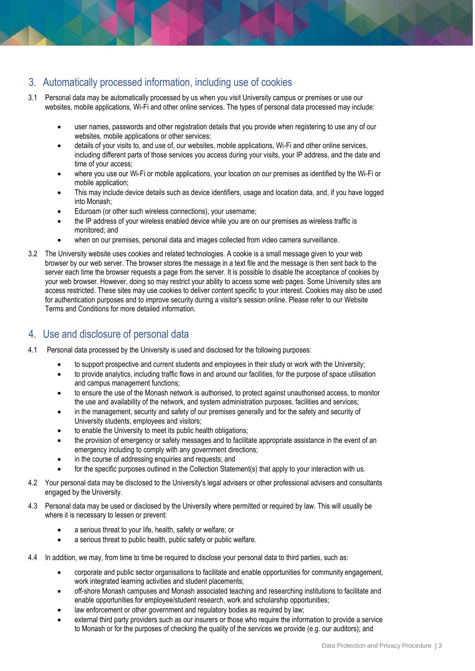## 3. Automatically processed information, including use of cookies

- 3.1 Personal data may be automatically processed by us when you visit University campus or premises or use our websites, mobile applications, Wi-Fi and other online services. The types of personal data processed may include:
	- user names, passwords and other registration details that you provide when registering to use any of our websites, mobile applications or other services;
	- details of your visits to, and use of, our websites, mobile applications, Wi-Fi and other online services, including different parts of those services you access during your visits, your IP address, and the date and time of your access;
	- where you use our Wi-Fi or mobile applications, your location on our premises as identified by the Wi-Fi or mobile application;
	- This may include device details such as device identifiers, usage and location data, and, if you have logged into Monash;
	- Eduroam (or other such wireless connections), your username;
	- the IP address of your wireless enabled device while you are on our premises as wireless traffic is monitored; and
	- when on our premises, personal data and images collected from video camera surveillance.
- 3.2 The University website uses cookies and related technologies. A cookie is a small message given to your web browser by our web server. The browser stores the message in a text file and the message is then sent back to the server each time the browser requests a page from the server. It is possible to disable the acceptance of cookies by your web browser. However, doing so may restrict your ability to access some web pages. Some University sites are access restricted. These sites may use cookies to deliver content specific to your interest. Cookies may also be used for authentication purposes and to improve security during a visitor's session online. Please refer to our Website Terms and Conditions for more detailed information.

#### 4. Use and disclosure of personal data

- 4.1 Personal data processed by the University is used and disclosed for the following purposes:
	- to support prospective and current students and employees in their study or work with the University;
	- to provide analytics, including traffic flows in and around our facilities, for the purpose of space utilisation and campus management functions;
	- to ensure the use of the Monash network is authorised, to protect against unauthorised access, to monitor the use and availability of the network, and system administration purposes, facilities and services;
	- in the management, security and safety of our premises generally and for the safety and security of University students, employees and visitors;
	- to enable the University to meet its public health obligations;
	- the provision of emergency or safety messages and to facilitate appropriate assistance in the event of an emergency including to comply with any government directions;
	- in the course of addressing enquiries and requests; and
	- for the specific purposes outlined in the Collection Statement(s) that apply to your interaction with us.
- 4.2 Your personal data may be disclosed to the University's legal advisers or other professional advisers and consultants engaged by the University.
- 4.3 Personal data may be used or disclosed by the University where permitted or required by law. This will usually be where it is necessary to lessen or prevent:
	- a serious threat to your life, health, safety or welfare; or
	- a serious threat to public health, public safety or public welfare.
- 4.4 In addition, we may, from time to time be required to disclose your personal data to third parties, such as:
	- corporate and public sector organisations to facilitate and enable opportunities for community engagement, work integrated learning activities and student placements;
	- off-shore Monash campuses and Monash associated teaching and researching institutions to facilitate and enable opportunities for employee/student research, work and scholarship opportunities;
	- law enforcement or other government and regulatory bodies as required by law;
	- external third party providers such as our insurers or those who require the information to provide a service to Monash or for the purposes of checking the quality of the services we provide (e.g. our auditors); and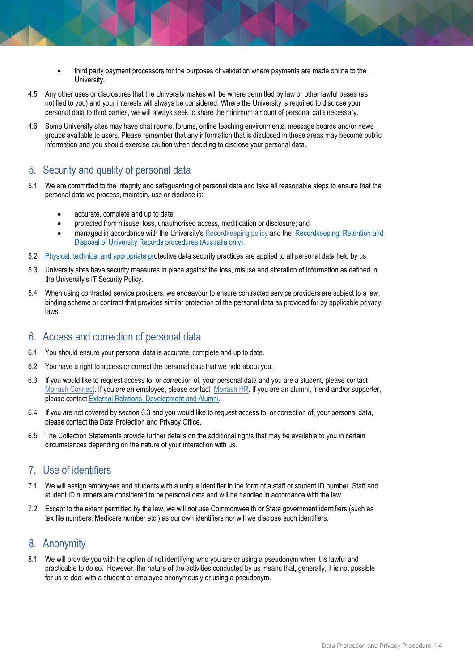- third party payment processors for the purposes of validation where payments are made online to the University.
- 4.5 Any other uses or disclosures that the University makes will be where permitted by law or other lawful bases (as notified to you) and your interests will always be considered. Where the University is required to disclose your personal data to third parties, we will always seek to share the minimum amount of personal data necessary.
- 4.6 Some University sites may have chat rooms, forums, online teaching environments, message boards and/or news groups available to users. Please remember that any information that is disclosed in these areas may become public information and you should exercise caution when deciding to disclose your personal data.

#### 5. Security and quality of personal data

- 5.1 We are committed to the integrity and safeguarding of personal data and take all reasonable steps to ensure that the personal data we process, maintain, use or disclose is:
	- accurate, complete and up to date;
	- protected from misuse, loss, unauthorised access, modification or disclosure; and
	- managed in accordance with the University's [Recordkeeping policy](https://publicpolicydms.monash.edu/Monash/documents/1909270) and the Recordkeeping: Retention and [Disposal of](https://publicpolicydms.monash.edu/Monash/documents/1909279) [University Records procedures \(Australia only\).](https://www.monash.edu/__data/assets/pdf_file/0004/784264/Recordkeeping-Retention-and-Disposal-of-University-Records-Procedures-Australia-only.pdf)
- 5.2 [Physical, technical and appropriate pro](https://www.monash.edu/__data/assets/pdf_file/0004/784264/Recordkeeping-Retention-and-Disposal-of-University-Records-Procedures-Australia-only.pdf)tective data security practices are applied to all personal data held by us.
- 5.3 University sites have security measures in place against the loss, misuse and alteration of information as defined in the University's [IT Security Policy.](https://www.monash.edu/__data/assets/pdf_file/0004/784057/Electronic-Information-Security-Policy.pdf)
- 5.4 When using contracted service providers, we endeavour to ensure contracted service providers are subject to a law, binding scheme or contract that provides similar protection of the personal data as provided for by applicable privacy laws.

#### 6. Access and correction of personal data

- 6.1 You should ensure your personal data is accurate, complete and up to date.
- 6.2 You have a right to access or correct the personal data that we hold about you.
- 6.3 If you would like to request access to, or correction of, your personal data and you are a student, please contact [Monash Connect.](http://www.monash.edu/connect) If you are an employee, please contact [Monash HR.](https://www.monash.edu/jobs/contact-us) If you are an alumni, friend and/or supporter, please contact [External Relations, Development and Alumni.](https://www.monash.edu/erda)
- 6.4 If you are not covered by section 6.3 and you would like to request access to, or correction of, your personal data, please contact the Data Protection and Privacy Office.
- 6.5 The Collection Statements provide further details on the additional rights that may be available to you in certain circumstances depending on the nature of your interaction with us.

#### 7. Use of identifiers

- 7.1 We will assign employees and students with a unique identifier in the form of a staff or student ID number. Staff and student ID numbers are considered to be personal data and will be handled in accordance with the law.
- 7.2 Except to the extent permitted by the law, we will not use Commonwealth or State government identifiers (such as tax file numbers, Medicare number etc.) as our own identifiers nor will we disclose such identifiers.

#### 8. Anonymity

8.1 We will provide you with the option of not identifying who you are or using a pseudonym when it is lawful and practicable to do so. However, the nature of the activities conducted by us means that, generally, it is not possible for us to deal with a student or employee anonymously or using a pseudonym.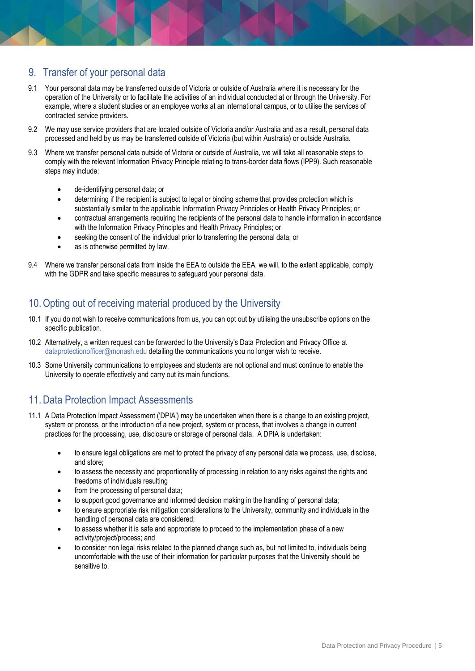## 9. Transfer of your personal data

- 9.1 Your personal data may be transferred outside of Victoria or outside of Australia where it is necessary for the operation of the University or to facilitate the activities of an individual conducted at or through the University. For example, where a student studies or an employee works at an international campus, or to utilise the services of contracted service providers.
- 9.2 We may use service providers that are located outside of Victoria and/or Australia and as a result, personal data processed and held by us may be transferred outside of Victoria (but within Australia) or outside Australia.
- 9.3 Where we transfer personal data outside of Victoria or outside of Australia, we will take all reasonable steps to comply with the relevant Information Privacy Principle relating to trans-border data flows (IPP9). Such reasonable steps may include:
	- de-identifying personal data; or
	- determining if the recipient is subject to legal or binding scheme that provides protection which is substantially similar to the applicable Information Privacy Principles or Health Privacy Principles; or
	- contractual arrangements requiring the recipients of the personal data to handle information in accordance with the Information Privacy Principles and Health Privacy Principles; or
	- seeking the consent of the individual prior to transferring the personal data; or
	- as is otherwise permitted by law.
- 9.4 Where we transfer personal data from inside the EEA to outside the EEA, we will, to the extent applicable, comply with the GDPR and take specific measures to safeguard your personal data.

## 10.Opting out of receiving material produced by the University

- 10.1 If you do not wish to receive communications from us, you can opt out by utilising the unsubscribe options on the specific publication.
- 10.2 Alternatively, a written request can be forwarded to the University's Data Protection and Privacy Office at [dataprotectionofficer@monash.edu](mailto:dataprotectionofficer@monash.edu) detailing the communications you no longer wish to receive.
- 10.3 Some University communications to employees and students are not optional and must continue to enable the University to operate effectively and carry out its main functions.

## 11. Data Protection Impact Assessments

- 11.1 A Data Protection Impact Assessment ('DPIA') may be undertaken when there is a change to an existing project, system or process, or the introduction of a new project, system or process, that involves a change in current practices for the processing, use, disclosure or storage of personal data. A DPIA is undertaken:
	- to ensure legal obligations are met to protect the privacy of any personal data we process, use, disclose, and store;
	- to assess the necessity and proportionality of processing in relation to any risks against the rights and freedoms of individuals resulting
	- from the processing of personal data;
	- to support good governance and informed decision making in the handling of personal data;
	- to ensure appropriate risk mitigation considerations to the University, community and individuals in the handling of personal data are considered;
	- to assess whether it is safe and appropriate to proceed to the implementation phase of a new activity/project/process; and
	- to consider non legal risks related to the planned change such as, but not limited to, individuals being uncomfortable with the use of their information for particular purposes that the University should be sensitive to.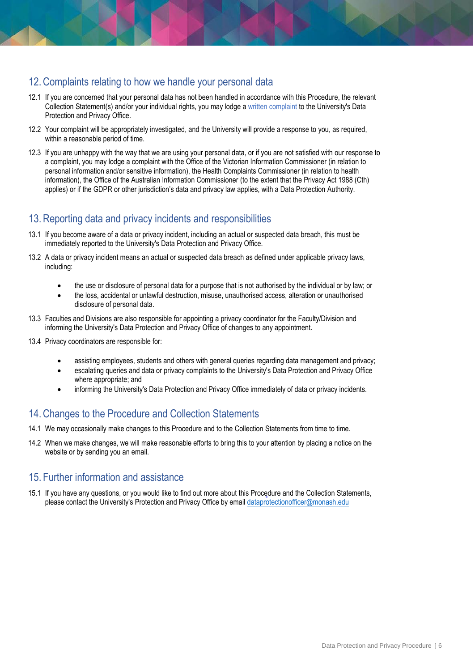## 12. Complaints relating to how we handle your personal data

- 12.1 If you are concerned that your personal data has not been handled in accordance with this Procedure, the relevant Collection Statement(s) and/or your individual rights, you may lodge [a written complaint](https://www.monash.edu/__data/assets/rtf_file/0006/1358304/Privacy-Complaint-Form.rtf) to the University's Data Protection and Privacy Office.
- 12.2 Your complaint will be appropriately investigated, and the University will provide a response to you, as required, within a reasonable period of time.
- 12.3 If you are unhappy with the way that we are using your personal data, or if you are not satisfied with our response to a complaint, you may lodge a complaint with the Office of the Victorian Information Commissioner (in relation to personal information and/or sensitive information), the Health Complaints Commissioner (in relation to health information), the Office of the Australian Information Commissioner (to the extent that the Privacy Act 1988 (Cth) applies) or if the GDPR or other jurisdiction's data and privacy law applies, with a Data Protection Authority.

## 13. Reporting data and privacy incidents and responsibilities

- 13.1 If you become aware of a data or privacy incident, including an actual or suspected data breach, this must be immediately reported to the University's Data Protection and Privacy Office.
- 13.2 A data or privacy incident means an actual or suspected data breach as defined under applicable privacy laws, including:
	- the use or disclosure of personal data for a purpose that is not authorised by the individual or by law; or
	- the loss, accidental or unlawful destruction, misuse, unauthorised access, alteration or unauthorised disclosure of personal data.
- 13.3 Faculties and Divisions are also responsible for appointing a privacy coordinator for the Faculty/Division and informing the University's Data Protection and Privacy Office of changes to any appointment.
- 13.4 Privacy coordinators are responsible for:
	- assisting employees, students and others with general queries regarding data management and privacy;
	- escalating queries and data or privacy complaints to the University's Data Protection and Privacy Office where appropriate; and
	- informing the University's Data Protection and Privacy Office immediately of data or privacy incidents.

#### 14. Changes to the Procedure and Collection Statements

- 14.1 We may occasionally make changes to this Procedure and to the Collection Statements from time to time.
- 14.2 When we make changes, we will make reasonable efforts to bring this to your attention by placing a notice on the website or by sending you an email.

#### 15. Further information and assistance

15.1 If you have any questions, or you would like to find out more about this Procedure and the Collection Statements, please contact the University's Protection and Privacy Office by email [dataprotectionofficer@monash.edu](mailto:dataprotectionofficer@monash.edu)